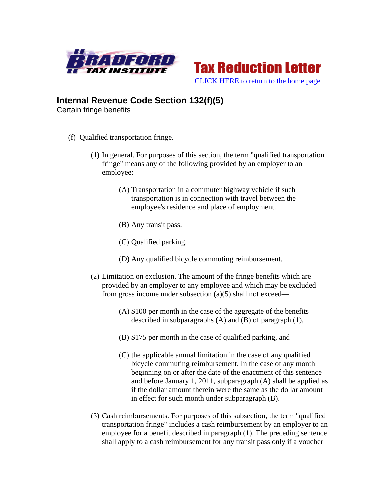



## **Internal Revenue Code Section 132(f)(5)**

Certain fringe benefits

- (f) Qualified transportation fringe.
	- (1) In general. For purposes of this section, the term "qualified transportation fringe" means any of the following provided by an employer to an employee:
		- (A) Transportation in a commuter highway vehicle if such transportation is in connection with travel between the employee's residence and place of employment.
		- (B) Any transit pass.
		- (C) Qualified parking.
		- (D) Any qualified bicycle commuting reimbursement.
	- (2) Limitation on exclusion. The amount of the fringe benefits which are provided by an employer to any employee and which may be excluded from gross income under subsection (a)(5) shall not exceed—
		- (A) \$100 per month in the case of the aggregate of the benefits described in subparagraphs (A) and (B) of paragraph (1),
		- (B) \$175 per month in the case of qualified parking, and
		- (C) the applicable annual limitation in the case of any qualified bicycle commuting reimbursement. In the case of any month beginning on or after the date of the enactment of this sentence and before January 1, 2011, subparagraph (A) shall be applied as if the dollar amount therein were the same as the dollar amount in effect for such month under subparagraph (B).
	- (3) Cash reimbursements. For purposes of this subsection, the term "qualified transportation fringe" includes a cash reimbursement by an employer to an employee for a benefit described in paragraph (1). The preceding sentence shall apply to a cash reimbursement for any transit pass only if a voucher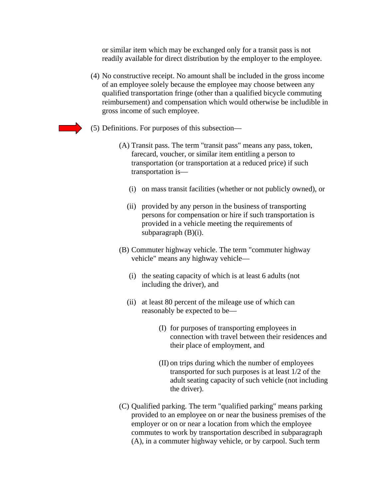or similar item which may be exchanged only for a transit pass is not readily available for direct distribution by the employer to the employee.

- (4) No constructive receipt. No amount shall be included in the gross income of an employee solely because the employee may choose between any qualified transportation fringe (other than a qualified bicycle commuting reimbursement) and compensation which would otherwise be includible in gross income of such employee.
- (5) Definitions. For purposes of this subsection—
	- (A) Transit pass. The term "transit pass" means any pass, token, farecard, voucher, or similar item entitling a person to transportation (or transportation at a reduced price) if such transportation is—
		- (i) on mass transit facilities (whether or not publicly owned), or
		- (ii) provided by any person in the business of transporting persons for compensation or hire if such transportation is provided in a vehicle meeting the requirements of subparagraph (B)(i).
	- (B) Commuter highway vehicle. The term "commuter highway vehicle" means any highway vehicle—
		- (i) the seating capacity of which is at least 6 adults (not including the driver), and
		- (ii) at least 80 percent of the mileage use of which can reasonably be expected to be—
			- (I) for purposes of transporting employees in connection with travel between their residences and their place of employment, and
			- (II) on trips during which the number of employees transported for such purposes is at least 1/2 of the adult seating capacity of such vehicle (not including the driver).
	- (C) Qualified parking. The term "qualified parking" means parking provided to an employee on or near the business premises of the employer or on or near a location from which the employee commutes to work by transportation described in subparagraph (A), in a commuter highway vehicle, or by carpool. Such term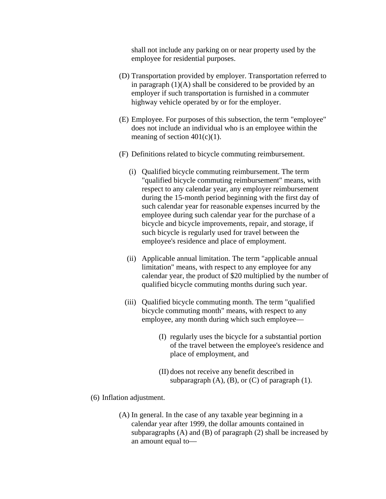shall not include any parking on or near property used by the employee for residential purposes.

- (D) Transportation provided by employer. Transportation referred to in paragraph  $(1)(A)$  shall be considered to be provided by an employer if such transportation is furnished in a commuter highway vehicle operated by or for the employer.
- (E) Employee. For purposes of this subsection, the term "employee" does not include an individual who is an employee within the meaning of section  $401(c)(1)$ .
- (F) Definitions related to bicycle commuting reimbursement.
	- (i) Qualified bicycle commuting reimbursement. The term "qualified bicycle commuting reimbursement" means, with respect to any calendar year, any employer reimbursement during the 15-month period beginning with the first day of such calendar year for reasonable expenses incurred by the employee during such calendar year for the purchase of a bicycle and bicycle improvements, repair, and storage, if such bicycle is regularly used for travel between the employee's residence and place of employment.
	- (ii) Applicable annual limitation. The term "applicable annual limitation" means, with respect to any employee for any calendar year, the product of \$20 multiplied by the number of qualified bicycle commuting months during such year.
	- (iii) Qualified bicycle commuting month. The term "qualified bicycle commuting month" means, with respect to any employee, any month during which such employee—
		- (I) regularly uses the bicycle for a substantial portion of the travel between the employee's residence and place of employment, and
		- (II) does not receive any benefit described in subparagraph  $(A)$ ,  $(B)$ , or  $(C)$  of paragraph  $(1)$ .
- (6) Inflation adjustment.
	- (A) In general. In the case of any taxable year beginning in a calendar year after 1999, the dollar amounts contained in subparagraphs (A) and (B) of paragraph (2) shall be increased by an amount equal to—